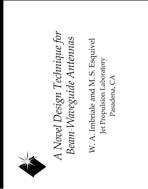

## A Novel Design Technique for Beam-Waveguide Antennas

W. A. Imbriale and M. S. Esquivel Jet Propulsion Laboratory Pasadena, CA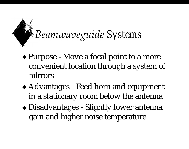### *Beamwaveguide Systems*

- + Purpose Move a focal point to a more convenient location through a system of ● mirrors
- + Advantages Feed horn and equipment in a stationary room below the antenna
- + Disadvantages Slightly lower antenna gain and higher noise temperature <sup>1</sup>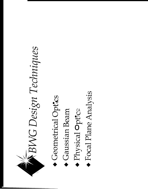

- Geometrical Optics
- Gaussian Beam
- Physical Optrce
- Focal Plane Analysis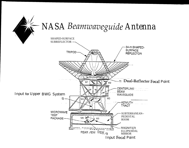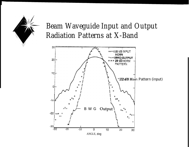### *Beam Waveguide Input and Output Radiation Patterns at X-Band*

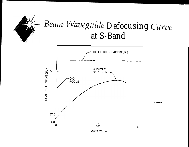

### Beam-Waveguide Defocusing Curve at S-Band

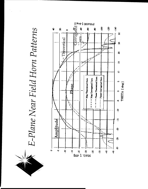

# E-Plane Near Field Horn Patterns

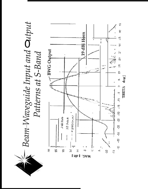

Beam-Waveguide Input and Output Patterns at S-Band

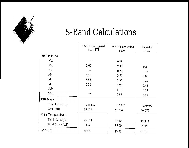

### *S-Band Calculations*

|                          | 22-dBi Corrugated<br>Horn $[7]$ | 19-dBi Corrugated<br>Horn | Theoretical<br>Horn |
|--------------------------|---------------------------------|---------------------------|---------------------|
| Spillover (%)            |                                 |                           |                     |
| $M_6$                    |                                 | 0.41                      |                     |
| $M_5$                    | 2.05                            | 2.46                      | 0.24                |
| $M_4$                    | 1.57                            | 0.70                      | 1.19                |
| $M_3$                    | 5.91                            | 0.73                      | 0.86                |
| M <sub>2</sub>           | 5.55                            | 0.96                      | 1.29                |
| $M_1$                    | 1.36                            | 0.26                      | 0.46                |
| Sub                      |                                 | 1.14                      | 1.94                |
| Main                     |                                 | 0.94                      | 3.61                |
| Efficiency               |                                 |                           |                     |
| <b>Total Efficiency</b>  | 0.48415                         | 0.6827                    | 0.69502             |
| Gain (dB)                | 55.102                          | 56.594                    | 56.672              |
| <b>Noise Temperature</b> |                                 |                           |                     |
| Total Noise $(K)$        | 73.574                          | 37.10                     | 35.314              |
| Total Noise (dB)         | 18.67                           | 15.69                     | 15.48               |
| $G/T$ (dB)               | 36.43                           | 40.90                     | 41.19               |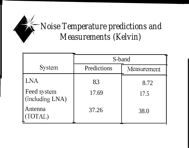### *Noise Temperature predictions and Measurements (Kelvin)*

|                                | S-band      |             |  |
|--------------------------------|-------------|-------------|--|
| System                         | Predictions | Measurement |  |
| LNA                            | 83          | 8.72        |  |
| Feed system<br>(including LNA) | 17.69       | 17.5        |  |
| Antenna<br>$\Gamma A L$        | 37.26       | 38.0        |  |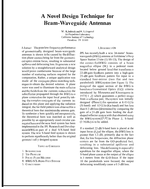### A Novel Design Technique for **Beam-Waveguide Antennas**

W. A, Imbriale and M, S, Esquivel Jet Propulsion Laboratory California Institute of 1 cchnology Pasadena, ('A 91109

*Abstract* The poor low-frequency performance of geometrically designed beam-waveguide antennas is shown to be caused by the diffraction phase centers being far from the geometrical optics mirror focus, resulting in substantial spillover and defocusing loss. To generate a new solution by a straightforward analytical design would prove cumbersome because of the large number of scattering surfaces required for the computation, Rather, a unique application was made of the conjugate phase-matching techniques to obtain the desired solution. A plane wave was used to illuminate the main reflector and the fields from the currents induced on the subreflector propagated through the BWG to a plane centered on the input focal point By taking the complex-conjugate of the currents induced on this plane and applying the radiation integral, the far-field pattern was obtained for a theoretical horn that maximizes the antenna gain. To synthesize a horn quickly and inexpensively. the theoretical horn was matched as well as possible by an appropriately sized circular corrugated horn and the new feed system has been implemented in the JPI. Research and Development BWG as part of a dual S/X-band feed system. The ncw S-band feed system is shown to perform significantly belter than the original geometri call y designed system.

### TABLE OF CONTENTS

- 1. INTRODUCTION
- 2. THE PROBLEM
- 3. FOCAL-PLANE METHOD
- **4 BWG S/X-BAND FEED SYSTEM**
- 5. CONCLUSIONS

### 1, INTRODUCTION

JPL has recently built a new 34-meter' beamwaveguide (BWG) antenna at Goldstone's Deep Space Station 13 site  $(1)$  SS-13), The design of the center-fed BWG consists of a beam magnifier ellipse  $(M<sub>s</sub>)$  in a pedestal room located below ground level that transforms a 22-dB gain feedhorn pattern into a high-gain 29-dB gain feedhorn pattern for input to a standard four-mirror (two flat and two paraboloid) BWG system (see Figure 1). The design of the upper section of the BWG is based on a Geometrical Optics (G()) criteria introduced by Mizusawa and Kitsuregawa in 1973[1,2] which guarantees a perfect image from a reflector pair, The system was initially designed (Phase I) for operation at  $8.45$  G  $1z$ than 0.2-dB loss (determined by comparing the gain of a 29-dB gain horn feeding the dualshaped reflector system with that obtained using the BWG system) $[3,4]$  In Phase 2, S-band  $(2.3$  GHz) is to be added.

If a standard 22-dB S-band horn is placed at the input focus  $(f_3)$  of the ellipse, the BWG loss is greater than 1.5 dB, primarily due to the fact that, for low frequencies, the diffraction phase centers are far from the GO-predicted foci, resulting in a substantial spillover and defocusing loss. This defocusing is especially a problem for the magnifier ellipse, where the S-band phase center at the output of the ellipse is 3 meters from the  $G$   $O$  focus. If the input 10 the paraboloids were focused, the output defocusing would only cause a 0.3-dB loss.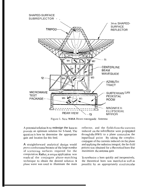

Figure 1. New **NASA** Beam-waveguide Antenna

A potential solution is to redesign the horn to provide an optimum solution for S-band, The question is how to determine the appropriate gain and location for this feed.

A straightforward analytical design would prove cumbersome because of the large number of scattering surfaces required for the computation. Rather, a unique application was made of the conjugate phase-matching technique to obtain the desired solution. A plane wave was used to illuminate the main reflector, and the fields from the currents induced on the subreflector- were propagated through the BWG to a plane centered on the input focal point By taking the complexconjugate of the currents induced cm the plane and applying the radiation integral, the far-field pattern was obtained for a theoretical horn that maximizes the anlcnna gain

To synthesize a horn quickly and inexpensively, the theoretical horn was matched as well as possib]c by an appropriately sized circulai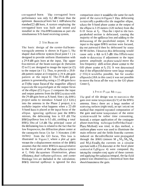corrugated horn. The corrugated horn performance was only  $0.2$  dB lower than the optimum theoretical horn but 1,4 dB above the standard 22-dB horn, A system employing the corrugated horn was built and tested and installed in the 34mBWG antenna as part ofa simultaneous S/X-band receiving system,

### 2. THE PROBLEM

The basic design of the center-fed beamwaveguide antenna is shown in Figure 1, The shaped dual-reflector system (focal point f 1) is designed to provide uniform illumination with a 29,8-dll gain horn at the input, '1'hc upper foul mirrors of the beam-wavcgui dc (between  $(2 \text{ to } 1)$  arc designed to image the input (at f2) to the output (at f I). Thus, to provide a  $29.8$ d13 pattern output at fl requires a **29.8 -cJII** gain pattern at the input  $f2$ . The  $29.8$ -dB gain pattern is generated by using a  $22$ -dB gain horn at  $\Omega$  (the input focus of the magnifier ellipse) to provide the required gain at the output focus of the ellipse  $(f2)$ . Figure 2 compares the input and output patterns from the BWG system with the 29-dB gain horn at X-band. Sine.c the BWG project seeks to introduce S-band  $(2,3 \text{ GHz})$ into the antenna in the Phase 2 project, it is uscful to inquire what happens when a 22-dB S-band horn is placed at the input focus of the ellipse. ignoring spillover past the BWG mirrors, the defocusing loss is  $0.9$  dB. The BWG spillover loss is 0.5 dB, yielding a total BWG 10ss of 1,4 dB. The principal cause of the defocusing loss is related to the fact that for low frcqucncics, the diffraction phase center at the cassegrain focus  $f<sub>i</sub>$  is far- 3.56 meters (140) inches) from the GO focus, This loss is illustrated in Figure 3, where a plot of gain versus the z-displacement motion of the IIWG assumes that the entire BWG is moved relative to the focal point of the dual-reflector system at  $f_1$ . Only the aperture illumination, phase efficiency, dual -reflector spill over, and center blockage 10ss arc included in the calculation; **BWG** internal spillover is ignored for this

comparison since it would be tile same for each point of the curve in Figure 3. This defocusing is especially a problem for tile magnifier ellipse, where the S-band phase center at the output of the ellipse is  $3.05$  meters (120 inches) from the G.O. focus at  $f_2$ . Thus the i nput to tile twoparaboloid section is defocused, causing the majority of the spillover loss and adding to the defocusing of the paraboloid output, If the input to the upper  $BWG$  section were focused, the out put would then be defocused by some  $60$  90 inches. I lowever, this defocusing would cause only a **0.2-** to 0.3-dB 10ss Efforts were made to dctcrminc if adjustment to the input pattern amplitude or phase would move the low-frequency diffi action phase center to the GO phase center at  $f<sub>2</sub>$  [5]. It was determined that if the ellipsoidal mirror were large enough  $($ >30 $\lambda$ ) it would be possible, but for smaller  $ellipsoids$  (18A in this case) it was not possible to move the focus all the way to the GO phase Center  $f_2$ .

### 3. FOCAL-PLANE METHOD

The goal of tile design was to maximize the gain over noise temperature.  $(G/T)$  of the BWG antenna. Sine.c there arc a iargc number of scatt cring surfaces (eight total), an opt i mizat i on method that required repeated computation of the gain and noise temperature of the entire system would be rather time consuming, Instead, a unique application of the conjugate phase-matching technique (called the Focal -Plane Method) was tried, in this method, a uniform plane wave was used to illuminate the main reflector and the fields from the currents induced on the subreflector were propagated through the BWG (minors M  $_1$ , M<sub>2</sub>, M<sub>3</sub>, M<sub>4</sub>, and  $M_5$ ), Finally, the currents on a circularaperture with a  $23\lambda$  diameter at the focal plane centered at  $f_3$  (Figure 4) were computed. By taking the complex-conjugate of these currents and applying the radiation integral, the far-field pattern was obtained for a theoretical horn that should maximize the gain.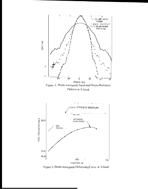

Figure 3, Beam-waveguide Defocusing Curve at S-band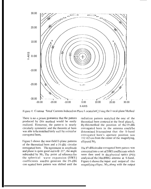

Figure 4. Contour 'lot of Currents Induced on Plane Located at f<sub>3</sub> Using the 1~ocal-plane Method

There is no *a priori* guarantee that the pattern produced by (his method would be easily realized. However, the patter-n is nearly circularly symmetric and the theoretic.al horn was able to be matched fairly well by a circul ar corrugated horn,

Figure 5 shows the near-field E-plane patterns of the theoretical horn and a 19-dBi circular corrugated horn. The agreement in amplitude and phase is quite good out to  $\theta$  = 21", the angle subtended by  $M_5$ . The point of reference for the spherical wave expansion (SWE) coefficients used to generate the 19-dBi con ugated horn pattern was shifted until the

radiation pattern matched the one of the theoretical horn centered at the focal plane  $f_3$ . By this method the position of the 19-dBi corrugated horn in the antenna couldbe determined It turned out that the S-band corrugated horn's aperture position was 352.425 cm from the center of the magnifying, ellipsoid  $M_5$ .

The 19-dBi circular corrugated horn pattern was converted into a set of SWE coefficients which were then used in the physical optics (PO) analysis of the 34m BWG antenna at S-band, Figure 6 shows the input and output of the magnifying ellipse,  $M_5$ , along with the output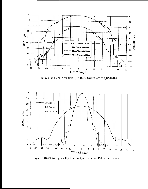

Figure 5. E-plane Near-fjc]d (R = 165", Referenced to  $f_3$ ) Patterns

![](_page_15_Figure_2.jpeg)

Figure 6. Beam-waveguide Input and output Radiation Patterns at S-band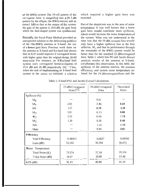of the BWG system The 19-ctll pattern of the corrugated horn is magnified into  $a \, 28.7$ -dB pattern by the ellipse; the RWG mirrors add an  $ext{r}$  at 1. IdB so that at the output of the system the gain of the pattern is  $29.8$  dB, the gain from which the dual-shaped system was synthesized.

Basically, the Focal-Plane Method provided an unexpected solution to the defocusing problcn) of the 34m BWG antenna at S-band: the usc of a Iowcr gain horm Previous work done on the antenna at X-band and Ka-band had shown that its G/'J' would improve if corrugated horns with higher gains than the original-design 22 d<sub>B</sub> were used. For instance, an  $X/K$ a-band feed system uses corrugated hornswith gains of  $25.0$  dB and  $26$  dB, respectively  $[6]$ , '1'bus, when the task of implementing an S-band feed system in the antenna was initiated, a solution which required a higher gain horn was cxpcctcd.

l'arl of the skepticism was in the area of noise tcmpcraturc, It was well known that a lower gain horn would contribute more spillover, which would increase the noise temperature of the system. What was not understood at the time was that the 19-dBi corrugated hoin would only have a higher spillovcr loss at the first reflector, M<sub>5</sub>, and that its performance through the remainder of the BWG system would be better than for the standard  $22$ -dBi corrugated horn, Table 1, which lists  $PO$  and Jacobi-Bessel analysis results of the antenna at S-band, cortoboratcs this observation, In this tabic, the spillover of the antenna mirrors, the antenna cfllciency, and system noise tcmpcraturc arc listed for the 19-dBi corrugated horn and the

—.. -....——-

|                             | 22-dBi Corrugated<br>$\text{Horn} [7]$ | 19-dBiCorrugated<br>Hom | Theoretical<br>Horn |
|-----------------------------|----------------------------------------|-------------------------|---------------------|
| Spillover (%)               |                                        |                         |                     |
| $M_6$                       |                                        | 0.41                    |                     |
| M <sub>5</sub>              | 2.05                                   | 2.46                    | 0.24                |
| M <sub>4</sub>              | 1.57                                   | 0,70                    | 1.19                |
| $M_3$                       | 5.91                                   | 0.73                    | 0.86                |
| M <sub>2</sub>              | 5.55                                   | 0.96                    | 1.3.9               |
| M <sub>1</sub>              | 1,30                                   | 0.26                    | 0.46                |
| Sub                         |                                        | 1.14                    | 1.94                |
| Main                        |                                        | 0.94                    | 3.01                |
| Efficiency                  |                                        |                         |                     |
| Total Efficiency            | 0.48415                                | 0,6827                  | 0.69502             |
| Gain $(dB)$                 | 55,102                                 | 56.594                  | 56.672              |
| <b>Noise</b><br>Temperature |                                        |                         |                     |
| Total Noise (K)             | 73.574                                 | 37.10                   | 35.314              |
| 'l'o[al Noise (dB)          | 18.67                                  | 15.69                   | 15.48               |
| $G/T$ (dB)                  | 36.43                                  | 40.90                   | 41.19               |

Table 1, S-band P.O. and Jacobi-l] essel Calculations . . ..— ., -—— —.— ——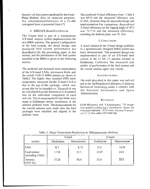theoret i cal horn pattern predicted by the Focal -Plane Method, Also, for comparison purposes, the calculated performance of  $a$  22-dBi corrugated horn is presented from [7].

.

### 4. BWG S/X-BAND FEED SYSTEM

The S-band feed is part of a simultaneous  $S/X$ -band receive system implemented on the ncw BWG antenna, The general configuration of the feed systcm, the detail design, and mcasured feed system performance are dcscribcd in [8], the proceeding paper in this session, and the performance of the feed system installed in the  $\overline{BWG}$  is given in the following section

The predicted and measured noise temperatures of the S/X-band 1,NAs, microwave feeds, and the overall 11SS-13 BWG antenna arc shown in Table 2. The higher than standard DSN noise temperature measured for the X-band LNA is due to the agc of the package, which was accept able for its intended usc. The predi cti ons are calculated from the theoretical or m easured loss of the individual component of each syst cm, The m easurements for the feeds were made at Goldstonc before installation in the antenna pedestal room. The measurements for the overall antenna were made after the feed packages were installed and aligned in the pedestal room.

'1'he predicted S-band cfllcicncy from '1'able 1 was  $68^{\circ}/0$  and the measured efficiency was 67,50A, dcmonstt'sting the succcssfljl design and implementation. For comparison, the predicted X-band efficiency (at the rigging angle of  $45^{\circ}$ ) was  $72.7^{\circ}/0$  and the measured efficiency, including the dichroic plate, was 70, 10/o.

### 5. CONCLUSIONS

A novel solution to the S-band design problems in a geometrically designed  $BWG$  system has been demonstrated. The proposed design was implemented as part of an  $S/X$ -band feed system in the 11 SS-13 antenna located at Goldstone, California The measured and predict cd performance of the feed systems and the overall antenna agree very closely.

### **ACKNOWLEDGMENT**

'Ihc work dcscribcd in this paper was earl-icd out at the Jet Propulsion Laboratory, California Institute of Technology, under a contract with the National Aeronautics and Space Administration

### **REFERENCES**

11] **M,** Miz.usawa and 1', Kilsuregawa. "A llcan~ waveguide Feed Having a Symmetric Beam for ('assegrain Antennas," IEEE Trans. Antennas Propagat., *vol.* ,1) '-2/, November 1973.844 846.

|                                | S-band      |             | X-band      |             |
|--------------------------------|-------------|-------------|-------------|-------------|
| system                         | Predictions | Measurement | Predictions | Measurement |
| <b>LNA</b>                     | 8.3         | 8.72        | 12.0        | 14.09       |
| Feed system<br>(including LNA) | I 7.69      | 17.5        | 23.07       | 24.0        |
| Antenna<br>$(TO1^tA1.)$        | 37.26       | 38.0        | 32.9        | 33.0        |

Table 2, Noise Temperature Predictions al AMeasurements (Kelvin)